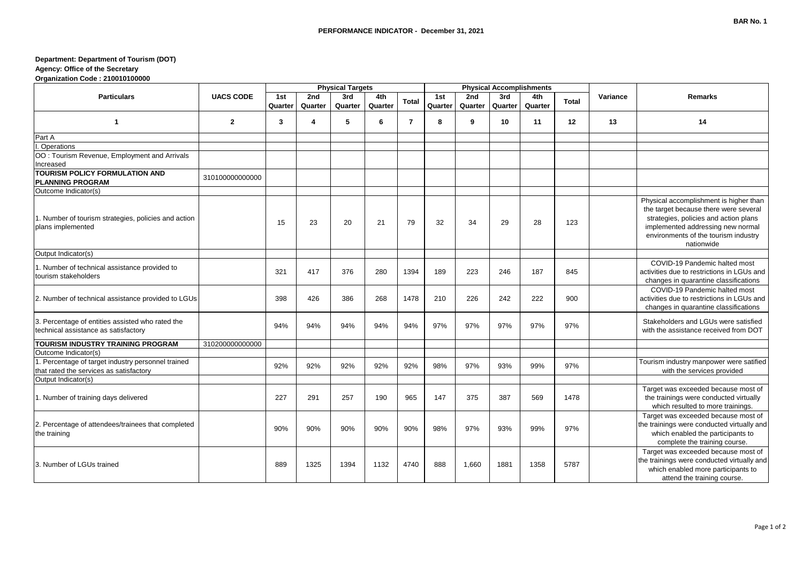## **Department: Department of Tourism (DOT) Agency: Office of the Secretary**

**Organization Code : 210010100000**

|                                                                                               | <b>UACS CODE</b> | <b>Physical Targets</b> |                |                |                |                |                |                |                | <b>Physical Accomplishments</b> |       |          |                                                                                                                                                                                                                     |
|-----------------------------------------------------------------------------------------------|------------------|-------------------------|----------------|----------------|----------------|----------------|----------------|----------------|----------------|---------------------------------|-------|----------|---------------------------------------------------------------------------------------------------------------------------------------------------------------------------------------------------------------------|
| <b>Particulars</b>                                                                            |                  | 1st<br>Quarter          | 2nd<br>Quarter | 3rd<br>Quarter | 4th<br>Quarter | Total          | 1st<br>Quarter | 2nd<br>Quarter | 3rd<br>Quarter | 4th<br>Quarter                  | Total | Variance | <b>Remarks</b>                                                                                                                                                                                                      |
| $\mathbf{1}$                                                                                  | $\mathbf{2}$     | 3                       | 4              | 5              | 6              | $\overline{7}$ | 8              | 9              | 10             | 11                              | 12    | 13       | 14                                                                                                                                                                                                                  |
| Part A                                                                                        |                  |                         |                |                |                |                |                |                |                |                                 |       |          |                                                                                                                                                                                                                     |
| Operations                                                                                    |                  |                         |                |                |                |                |                |                |                |                                 |       |          |                                                                                                                                                                                                                     |
| OO: Tourism Revenue, Employment and Arrivals<br>Increased                                     |                  |                         |                |                |                |                |                |                |                |                                 |       |          |                                                                                                                                                                                                                     |
| TOURISM POLICY FORMULATION AND<br><b>PLANNING PROGRAM</b>                                     | 310100000000000  |                         |                |                |                |                |                |                |                |                                 |       |          |                                                                                                                                                                                                                     |
| Outcome Indicator(s)                                                                          |                  |                         |                |                |                |                |                |                |                |                                 |       |          |                                                                                                                                                                                                                     |
| 1. Number of tourism strategies, policies and action<br>plans implemented                     |                  | 15                      | 23             | 20             | 21             | 79             | 32             | 34             | 29             | 28                              | 123   |          | Physical accomplishment is higher than<br>the target because there were several<br>strategies, policies and action plans<br>implemented addressing new normal<br>environments of the tourism industry<br>nationwide |
| Output Indicator(s)                                                                           |                  |                         |                |                |                |                |                |                |                |                                 |       |          |                                                                                                                                                                                                                     |
| 1. Number of technical assistance provided to<br>tourism stakeholders                         |                  | 321                     | 417            | 376            | 280            | 1394           | 189            | 223            | 246            | 187                             | 845   |          | COVID-19 Pandemic halted most<br>activities due to restrictions in LGUs and<br>changes in quarantine classifications                                                                                                |
| 2. Number of technical assistance provided to LGUs                                            |                  | 398                     | 426            | 386            | 268            | 1478           | 210            | 226            | 242            | 222                             | 900   |          | COVID-19 Pandemic halted most<br>activities due to restrictions in LGUs and<br>changes in quarantine classifications                                                                                                |
| 3. Percentage of entities assisted who rated the<br>technical assistance as satisfactory      |                  | 94%                     | 94%            | 94%            | 94%            | 94%            | 97%            | 97%            | 97%            | 97%                             | 97%   |          | Stakeholders and LGUs were satisfied<br>with the assistance received from DOT                                                                                                                                       |
| TOURISM INDUSTRY TRAINING PROGRAM                                                             | 310200000000000  |                         |                |                |                |                |                |                |                |                                 |       |          |                                                                                                                                                                                                                     |
| Outcome Indicator(s)                                                                          |                  |                         |                |                |                |                |                |                |                |                                 |       |          |                                                                                                                                                                                                                     |
| 1. Percentage of target industry personnel trained<br>that rated the services as satisfactory |                  | 92%                     | 92%            | 92%            | 92%            | 92%            | 98%            | 97%            | 93%            | 99%                             | 97%   |          | Tourism industry manpower were satified<br>with the services provided                                                                                                                                               |
| Output Indicator(s)<br>1. Number of training days delivered                                   |                  | 227                     | 291            | 257            | 190            | 965            | 147            | 375            | 387            | 569                             | 1478  |          | Target was exceeded because most of<br>the trainings were conducted virtually<br>which resulted to more trainings.                                                                                                  |
| 2. Percentage of attendees/trainees that completed<br>the training                            |                  | 90%                     | 90%            | 90%            | 90%            | 90%            | 98%            | 97%            | 93%            | 99%                             | 97%   |          | Target was exceeded because most of<br>the trainings were conducted virtually and<br>which enabled the participants to<br>complete the training course.                                                             |
| 3. Number of LGUs trained                                                                     |                  | 889                     | 1325           | 1394           | 1132           | 4740           | 888            | 1,660          | 1881           | 1358                            | 5787  |          | Target was exceeded because most of<br>the trainings were conducted virtually and<br>which enabled more participants to<br>attend the training course.                                                              |